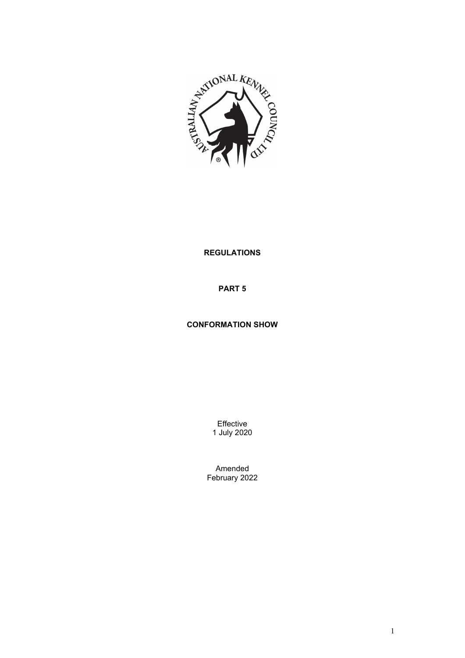

## **REGULATIONS**

**PART 5**

# **CONFORMATION SHOW**

Effective 1 July 2020

Amended February 2022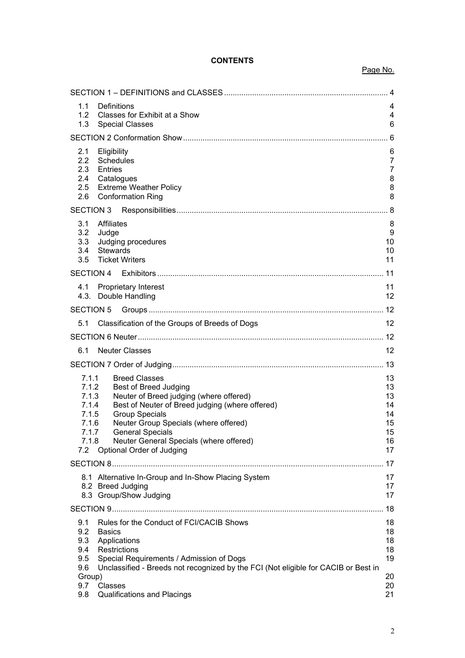# **CONTENTS**

## Page No.

| 1.1<br>Definitions<br>1.2<br>Classes for Exhibit at a Show<br>1.3<br><b>Special Classes</b>                                                                                                                                                                                                                                                                                                            | 4<br>4<br>6                                        |  |  |  |
|--------------------------------------------------------------------------------------------------------------------------------------------------------------------------------------------------------------------------------------------------------------------------------------------------------------------------------------------------------------------------------------------------------|----------------------------------------------------|--|--|--|
|                                                                                                                                                                                                                                                                                                                                                                                                        |                                                    |  |  |  |
| 2.1<br>Eligibility<br>2.2<br>Schedules<br>2.3<br>Entries<br>2.4<br>Catalogues<br>2.5<br><b>Extreme Weather Policy</b><br>2.6<br><b>Conformation Ring</b>                                                                                                                                                                                                                                               |                                                    |  |  |  |
| <b>SECTION 3</b>                                                                                                                                                                                                                                                                                                                                                                                       |                                                    |  |  |  |
| <b>Affiliates</b><br>3.1<br>3.2<br>Judge<br>Judging procedures<br>3.3<br><b>Stewards</b><br>3.4<br><b>Ticket Writers</b><br>3.5                                                                                                                                                                                                                                                                        | 8<br>9<br>10<br>10<br>11                           |  |  |  |
| SECTION 4                                                                                                                                                                                                                                                                                                                                                                                              |                                                    |  |  |  |
| 4.1<br><b>Proprietary Interest</b><br>4.3. Double Handling                                                                                                                                                                                                                                                                                                                                             | 11<br>12                                           |  |  |  |
| <b>SECTION 5</b>                                                                                                                                                                                                                                                                                                                                                                                       |                                                    |  |  |  |
| Classification of the Groups of Breeds of Dogs<br>5.1                                                                                                                                                                                                                                                                                                                                                  | 12                                                 |  |  |  |
|                                                                                                                                                                                                                                                                                                                                                                                                        |                                                    |  |  |  |
| 6.1<br><b>Neuter Classes</b>                                                                                                                                                                                                                                                                                                                                                                           | 12                                                 |  |  |  |
|                                                                                                                                                                                                                                                                                                                                                                                                        |                                                    |  |  |  |
| 7.1.1<br><b>Breed Classes</b><br>7.1.2<br><b>Best of Breed Judging</b><br>Neuter of Breed judging (where offered)<br>7.1.3<br>Best of Neuter of Breed judging (where offered)<br>7.1.4<br><b>Group Specials</b><br>7.1.5<br>Neuter Group Specials (where offered)<br>7.1.6<br><b>General Specials</b><br>7.1.7<br>Neuter General Specials (where offered)<br>7.1.8<br>Optional Order of Judging<br>7.2 | 13<br>13<br>13<br>14<br>14<br>15<br>15<br>16<br>17 |  |  |  |
|                                                                                                                                                                                                                                                                                                                                                                                                        | 17                                                 |  |  |  |
| 8.1 Alternative In-Group and In-Show Placing System<br>8.2 Breed Judging<br>8.3 Group/Show Judging                                                                                                                                                                                                                                                                                                     | 17<br>17<br>17                                     |  |  |  |
|                                                                                                                                                                                                                                                                                                                                                                                                        | 18                                                 |  |  |  |
| Rules for the Conduct of FCI/CACIB Shows<br>9.1<br>9.2<br><b>Basics</b><br>9.3<br>Applications<br>Restrictions<br>9.4<br>9.5<br>Special Requirements / Admission of Dogs<br>9.6<br>Unclassified - Breeds not recognized by the FCI (Not eligible for CACIB or Best in                                                                                                                                  | 18<br>18<br>18<br>18<br>19                         |  |  |  |
| Group)<br>9.7<br>Classes<br><b>Qualifications and Placings</b><br>9.8                                                                                                                                                                                                                                                                                                                                  | 20<br>20<br>21                                     |  |  |  |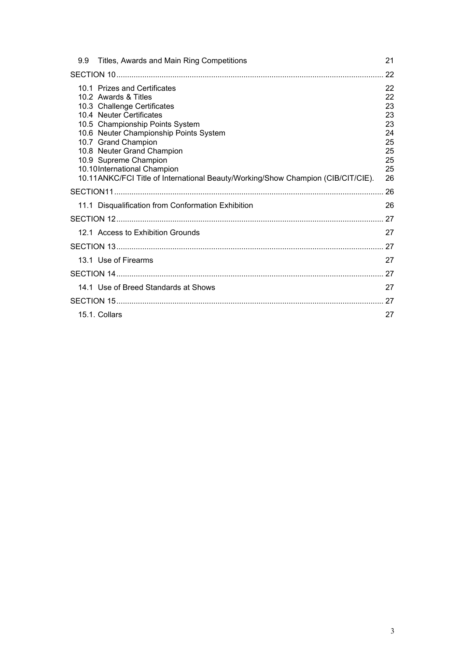| 9.9 | Titles, Awards and Main Ring Competitions                                                                                                                                                                                                                                                                                                                                                     | 21                                                             |
|-----|-----------------------------------------------------------------------------------------------------------------------------------------------------------------------------------------------------------------------------------------------------------------------------------------------------------------------------------------------------------------------------------------------|----------------------------------------------------------------|
|     |                                                                                                                                                                                                                                                                                                                                                                                               | 22                                                             |
|     | 10.1 Prizes and Certificates<br>10.2 Awards & Titles<br>10.3 Challenge Certificates<br>10.4 Neuter Certificates<br>10.5 Championship Points System<br>10.6 Neuter Championship Points System<br>10.7 Grand Champion<br>10.8 Neuter Grand Champion<br>10.9 Supreme Champion<br>10.10International Champion<br>10.11ANKC/FCI Title of International Beauty/Working/Show Champion (CIB/CIT/CIE). | 22<br>22<br>23<br>23<br>23<br>24<br>25<br>25<br>25<br>25<br>26 |
|     |                                                                                                                                                                                                                                                                                                                                                                                               | 26                                                             |
|     | 11.1 Disqualification from Conformation Exhibition                                                                                                                                                                                                                                                                                                                                            | 26                                                             |
|     |                                                                                                                                                                                                                                                                                                                                                                                               | 27                                                             |
|     | 12.1 Access to Exhibition Grounds                                                                                                                                                                                                                                                                                                                                                             | 27                                                             |
|     |                                                                                                                                                                                                                                                                                                                                                                                               |                                                                |
|     | 13.1 Use of Firearms                                                                                                                                                                                                                                                                                                                                                                          | 27                                                             |
|     |                                                                                                                                                                                                                                                                                                                                                                                               | 27                                                             |
|     | 14.1 Use of Breed Standards at Shows                                                                                                                                                                                                                                                                                                                                                          | 27                                                             |
|     |                                                                                                                                                                                                                                                                                                                                                                                               | 27                                                             |
|     | 15.1. Collars                                                                                                                                                                                                                                                                                                                                                                                 | 27                                                             |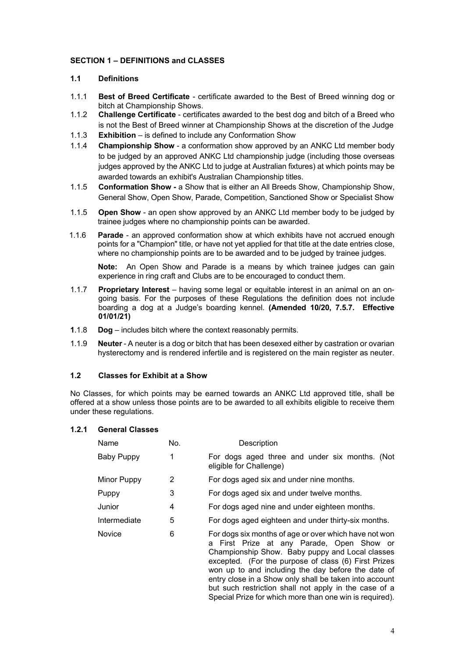## <span id="page-3-0"></span>**SECTION 1 – DEFINITIONS and CLASSES**

## <span id="page-3-1"></span>**1.1 Definitions**

- 1.1.1 **Best of Breed Certificate** certificate awarded to the Best of Breed winning dog or bitch at Championship Shows.
- 1.1.2 **Challenge Certificate** certificates awarded to the best dog and bitch of a Breed who is not the Best of Breed winner at Championship Shows at the discretion of the Judge
- 1.1.3 **Exhibition** is defined to include any Conformation Show
- 1.1.4 **Championship Show** a conformation show approved by an ANKC Ltd member body to be judged by an approved ANKC Ltd championship judge (including those overseas judges approved by the ANKC Ltd to judge at Australian fixtures) at which points may be awarded towards an exhibit's Australian Championship titles.
- 1.1.5 **Conformation Show -** a Show that is either an All Breeds Show, Championship Show, General Show, Open Show, Parade, Competition, Sanctioned Show or Specialist Show
- 1.1.5 **Open Show**  an open show approved by an ANKC Ltd member body to be judged by trainee judges where no championship points can be awarded.
- 1.1.6 **Parade** an approved conformation show at which exhibits have not accrued enough points for a "Champion" title, or have not yet applied for that title at the date entries close, where no championship points are to be awarded and to be judged by trainee judges.

**Note:** An Open Show and Parade is a means by which trainee judges can gain experience in ring craft and Clubs are to be encouraged to conduct them.

- 1.1.7 **Proprietary Interest** having some legal or equitable interest in an animal on an ongoing basis. For the purposes of these Regulations the definition does not include boarding a dog at a Judge's boarding kennel. **(Amended 10/20, 7.5.7. Effective 01/01/21)**
- **1**.1.8 **Dog** includes bitch where the context reasonably permits.
- 1.1.9 **Neuter** A neuter is a dog or bitch that has been desexed either by castration or ovarian hysterectomy and is rendered infertile and is registered on the main register as neuter.

#### <span id="page-3-2"></span>**1.2 Classes for Exhibit at a Show**

No Classes, for which points may be earned towards an ANKC Ltd approved title, shall be offered at a show unless those points are to be awarded to all exhibits eligible to receive them under these regulations.

#### **1.2.1 General Classes**

| Name              | No. | Description                                                                                                                                                                                                                                                                                                                                                                                                                                          |
|-------------------|-----|------------------------------------------------------------------------------------------------------------------------------------------------------------------------------------------------------------------------------------------------------------------------------------------------------------------------------------------------------------------------------------------------------------------------------------------------------|
| <b>Baby Puppy</b> | 1   | For dogs aged three and under six months. (Not<br>eligible for Challenge)                                                                                                                                                                                                                                                                                                                                                                            |
| Minor Puppy       | 2   | For dogs aged six and under nine months.                                                                                                                                                                                                                                                                                                                                                                                                             |
| Puppy             | 3   | For dogs aged six and under twelve months.                                                                                                                                                                                                                                                                                                                                                                                                           |
| Junior            | 4   | For dogs aged nine and under eighteen months.                                                                                                                                                                                                                                                                                                                                                                                                        |
| Intermediate      | 5   | For dogs aged eighteen and under thirty-six months.                                                                                                                                                                                                                                                                                                                                                                                                  |
| <b>Novice</b>     | 6   | For dogs six months of age or over which have not won<br>First Prize at any Parade, Open Show or<br>a<br>Championship Show. Baby puppy and Local classes<br>excepted. (For the purpose of class (6) First Prizes<br>won up to and including the day before the date of<br>entry close in a Show only shall be taken into account<br>but such restriction shall not apply in the case of a<br>Special Prize for which more than one win is required). |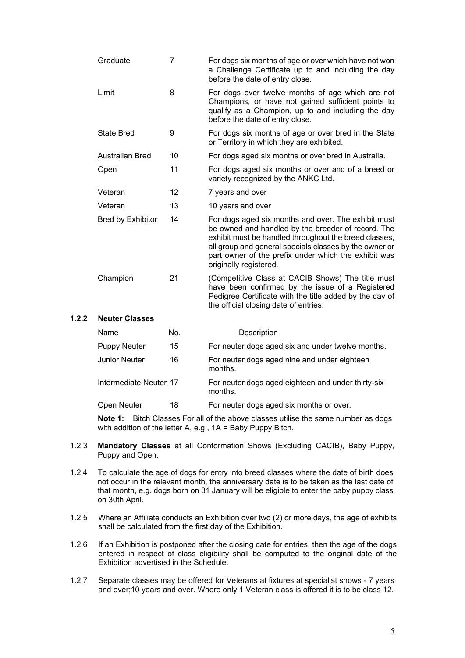| Graduate                 | 7  | For dogs six months of age or over which have not won<br>a Challenge Certificate up to and including the day<br>before the date of entry close.                                                                                                                                                                |
|--------------------------|----|----------------------------------------------------------------------------------------------------------------------------------------------------------------------------------------------------------------------------------------------------------------------------------------------------------------|
| Limit                    | 8  | For dogs over twelve months of age which are not<br>Champions, or have not gained sufficient points to<br>qualify as a Champion, up to and including the day<br>before the date of entry close.                                                                                                                |
| <b>State Bred</b>        | 9  | For dogs six months of age or over bred in the State<br>or Territory in which they are exhibited.                                                                                                                                                                                                              |
| <b>Australian Bred</b>   | 10 | For dogs aged six months or over bred in Australia.                                                                                                                                                                                                                                                            |
| Open                     | 11 | For dogs aged six months or over and of a breed or<br>variety recognized by the ANKC Ltd.                                                                                                                                                                                                                      |
| Veteran                  | 12 | 7 years and over                                                                                                                                                                                                                                                                                               |
| Veteran                  | 13 | 10 years and over                                                                                                                                                                                                                                                                                              |
| <b>Bred by Exhibitor</b> | 14 | For dogs aged six months and over. The exhibit must<br>be owned and handled by the breeder of record. The<br>exhibit must be handled throughout the breed classes,<br>all group and general specials classes by the owner or<br>part owner of the prefix under which the exhibit was<br>originally registered. |
| Champion                 | 21 | (Competitive Class at CACIB Shows) The title must<br>have been confirmed by the issue of a Registered<br>Pedigree Certificate with the title added by the day of<br>the official closing date of entries.                                                                                                      |
| Noutor Classos           |    |                                                                                                                                                                                                                                                                                                                |

# **1.2.2 Neuter Classes**

| Name                   | No. | Description                                                   |
|------------------------|-----|---------------------------------------------------------------|
| <b>Puppy Neuter</b>    | 15  | For neuter dogs aged six and under twelve months.             |
| Junior Neuter          | 16  | For neuter dogs aged nine and under eighteen<br>months.       |
| Intermediate Neuter 17 |     | For neuter dogs aged eighteen and under thirty-six<br>months. |
| Open Neuter            | 18  | For neuter dogs aged six months or over.                      |

**Note 1:** Bitch Classes For all of the above classes utilise the same number as dogs with addition of the letter A, e.g., 1A = Baby Puppy Bitch.

- 1.2.3 **Mandatory Classes** at all Conformation Shows (Excluding CACIB), Baby Puppy, Puppy and Open.
- 1.2.4 To calculate the age of dogs for entry into breed classes where the date of birth does not occur in the relevant month, the anniversary date is to be taken as the last date of that month, e.g. dogs born on 31 January will be eligible to enter the baby puppy class on 30th April.
- 1.2.5 Where an Affiliate conducts an Exhibition over two (2) or more days, the age of exhibits shall be calculated from the first day of the Exhibition.
- 1.2.6 If an Exhibition is postponed after the closing date for entries, then the age of the dogs entered in respect of class eligibility shall be computed to the original date of the Exhibition advertised in the Schedule.
- 1.2.7 Separate classes may be offered for Veterans at fixtures at specialist shows 7 years and over;10 years and over. Where only 1 Veteran class is offered it is to be class 12.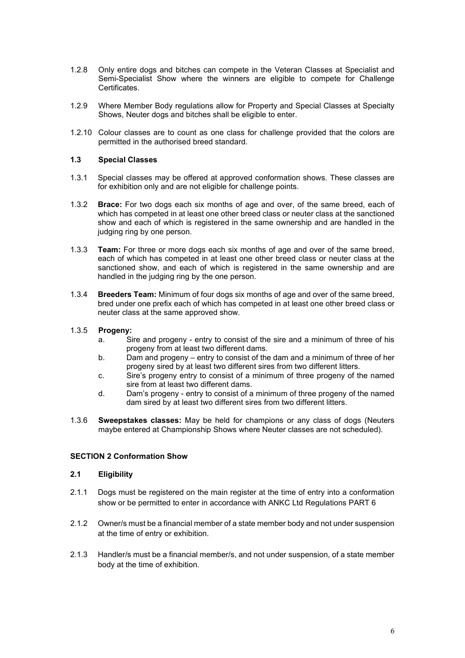- 1.2.8 Only entire dogs and bitches can compete in the Veteran Classes at Specialist and Semi-Specialist Show where the winners are eligible to compete for Challenge Certificates.
- 1.2.9 Where Member Body regulations allow for Property and Special Classes at Specialty Shows, Neuter dogs and bitches shall be eligible to enter.
- 1.2.10 Colour classes are to count as one class for challenge provided that the colors are permitted in the authorised breed standard.

#### <span id="page-5-0"></span>**1.3 Special Classes**

- 1.3.1 Special classes may be offered at approved conformation shows. These classes are for exhibition only and are not eligible for challenge points.
- 1.3.2 **Brace:** For two dogs each six months of age and over, of the same breed, each of which has competed in at least one other breed class or neuter class at the sanctioned show and each of which is registered in the same ownership and are handled in the judging ring by one person.
- 1.3.3 **Team:** For three or more dogs each six months of age and over of the same breed, each of which has competed in at least one other breed class or neuter class at the sanctioned show, and each of which is registered in the same ownership and are handled in the judging ring by the one person.
- 1.3.4 **Breeders Team:** Minimum of four dogs six months of age and over of the same breed, bred under one prefix each of which has competed in at least one other breed class or neuter class at the same approved show.

## 1.3.5 **Progeny:**

- a. Sire and progeny entry to consist of the sire and a minimum of three of his progeny from at least two different dams.
- b. Dam and progeny entry to consist of the dam and a minimum of three of her progeny sired by at least two different sires from two different litters.
- c. Sire's progeny entry to consist of a minimum of three progeny of the named sire from at least two different dams.
- d. Dam's progeny entry to consist of a minimum of three progeny of the named dam sired by at least two different sires from two different litters.
- 1.3.6 **Sweepstakes classes:** May be held for champions or any class of dogs (Neuters maybe entered at Championship Shows where Neuter classes are not scheduled).

#### <span id="page-5-1"></span>**SECTION 2 Conformation Show**

### <span id="page-5-2"></span>**2.1 Eligibility**

- 2.1.1 Dogs must be registered on the main register at the time of entry into a conformation show or be permitted to enter in accordance with ANKC Ltd Regulations PART 6
- 2.1.2 Owner/s must be a financial member of a state member body and not under suspension at the time of entry or exhibition.
- 2.1.3 Handler/s must be a financial member/s, and not under suspension, of a state member body at the time of exhibition.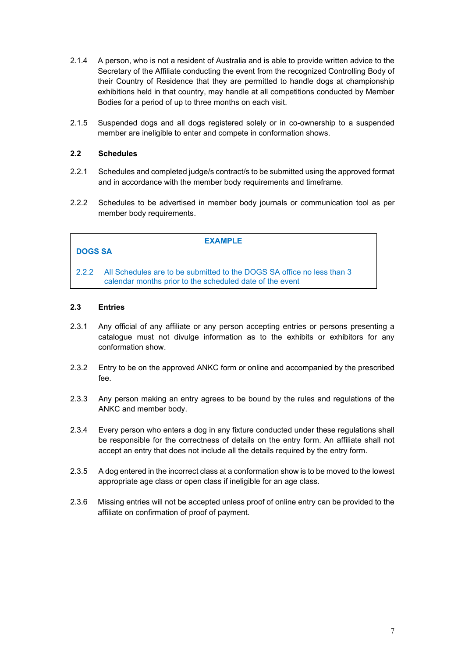- 2.1.4 A person, who is not a resident of Australia and is able to provide written advice to the Secretary of the Affiliate conducting the event from the recognized Controlling Body of their Country of Residence that they are permitted to handle dogs at championship exhibitions held in that country, may handle at all competitions conducted by Member Bodies for a period of up to three months on each visit.
- 2.1.5 Suspended dogs and all dogs registered solely or in co-ownership to a suspended member are ineligible to enter and compete in conformation shows.

## <span id="page-6-0"></span>**2.2 Schedules**

- 2.2.1 Schedules and completed judge/s contract/s to be submitted using the approved format and in accordance with the member body requirements and timeframe.
- 2.2.2 Schedules to be advertised in member body journals or communication tool as per member body requirements.

| <b>DOGS SA</b> | <b>EXAMPLE</b>                                                                                                                     |  |
|----------------|------------------------------------------------------------------------------------------------------------------------------------|--|
| 222            | All Schedules are to be submitted to the DOGS SA office no less than 3<br>calendar months prior to the scheduled date of the event |  |

## <span id="page-6-1"></span>**2.3 Entries**

- 2.3.1 Any official of any affiliate or any person accepting entries or persons presenting a catalogue must not divulge information as to the exhibits or exhibitors for any conformation show.
- 2.3.2 Entry to be on the approved ANKC form or online and accompanied by the prescribed fee.
- 2.3.3 Any person making an entry agrees to be bound by the rules and regulations of the ANKC and member body.
- 2.3.4 Every person who enters a dog in any fixture conducted under these regulations shall be responsible for the correctness of details on the entry form. An affiliate shall not accept an entry that does not include all the details required by the entry form.
- 2.3.5 A dog entered in the incorrect class at a conformation show is to be moved to the lowest appropriate age class or open class if ineligible for an age class.
- 2.3.6 Missing entries will not be accepted unless proof of online entry can be provided to the affiliate on confirmation of proof of payment.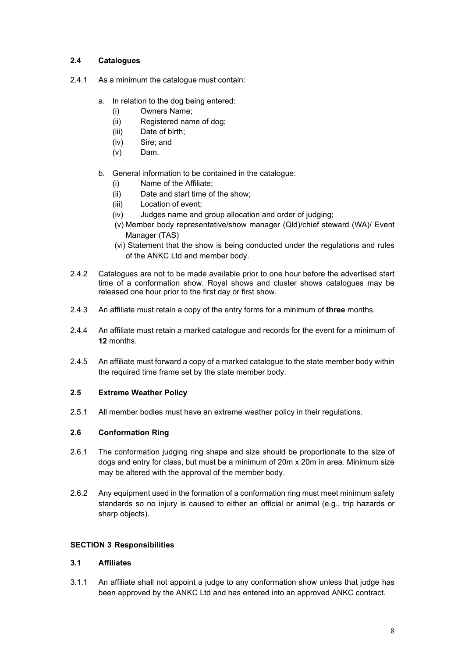## <span id="page-7-0"></span>**2.4 Catalogues**

- 2.4.1 As a minimum the catalogue must contain:
	- a. In relation to the dog being entered:
		- (i) Owners Name;
		- (ii) Registered name of dog;
		- (iii) Date of birth;
		- (iv) Sire; and
		- (v) Dam.
	- b. General information to be contained in the catalogue:
		- (i) Name of the Affiliate;
		- (ii) Date and start time of the show;
		- (iii) Location of event;
		- (iv) Judges name and group allocation and order of judging;
		- (v) Member body representative/show manager (Qld)/chief steward (WA)/ Event Manager (TAS)
		- (vi) Statement that the show is being conducted under the regulations and rules of the ANKC Ltd and member body.
- 2.4.2 Catalogues are not to be made available prior to one hour before the advertised start time of a conformation show. Royal shows and cluster shows catalogues may be released one hour prior to the first day or first show.
- 2.4.3 An affiliate must retain a copy of the entry forms for a minimum of **three** months.
- 2.4.4 An affiliate must retain a marked catalogue and records for the event for a minimum of **12** months.
- 2.4.5 An affiliate must forward a copy of a marked catalogue to the state member body within the required time frame set by the state member body.

## <span id="page-7-1"></span>**2.5 Extreme Weather Policy**

2.5.1 All member bodies must have an extreme weather policy in their regulations.

## <span id="page-7-2"></span>**2.6 Conformation Ring**

- 2.6.1 The conformation judging ring shape and size should be proportionate to the size of dogs and entry for class, but must be a minimum of 20m x 20m in area. Minimum size may be altered with the approval of the member body.
- 2.6.2 Any equipment used in the formation of a conformation ring must meet minimum safety standards so no injury is caused to either an official or animal (e.g., trip hazards or sharp objects).

## <span id="page-7-3"></span>**SECTION 3 Responsibilities**

## <span id="page-7-4"></span>**3.1 Affiliates**

3.1.1 An affiliate shall not appoint a judge to any conformation show unless that judge has been approved by the ANKC Ltd and has entered into an approved ANKC contract.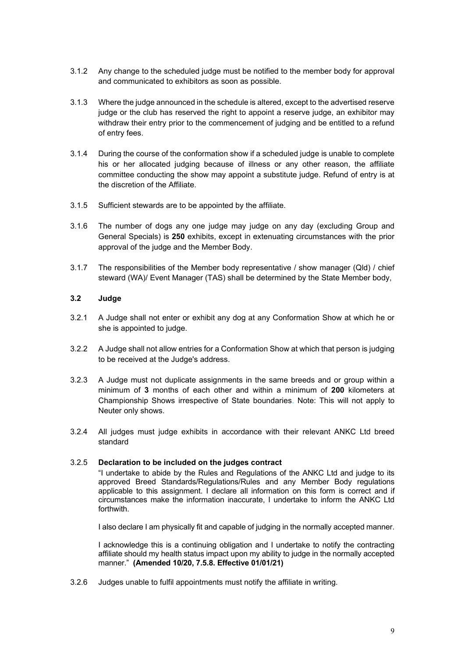- 3.1.2 Any change to the scheduled judge must be notified to the member body for approval and communicated to exhibitors as soon as possible.
- 3.1.3 Where the judge announced in the schedule is altered, except to the advertised reserve judge or the club has reserved the right to appoint a reserve judge, an exhibitor may withdraw their entry prior to the commencement of judging and be entitled to a refund of entry fees.
- 3.1.4 During the course of the conformation show if a scheduled judge is unable to complete his or her allocated judging because of illness or any other reason, the affiliate committee conducting the show may appoint a substitute judge. Refund of entry is at the discretion of the Affiliate.
- 3.1.5 Sufficient stewards are to be appointed by the affiliate.
- 3.1.6 The number of dogs any one judge may judge on any day (excluding Group and General Specials) is **250** exhibits, except in extenuating circumstances with the prior approval of the judge and the Member Body.
- 3.1.7 The responsibilities of the Member body representative / show manager (Qld) / chief steward (WA)/ Event Manager (TAS) shall be determined by the State Member body,

## <span id="page-8-0"></span>**3.2 Judge**

- 3.2.1 A Judge shall not enter or exhibit any dog at any Conformation Show at which he or she is appointed to judge.
- 3.2.2 A Judge shall not allow entries for a Conformation Show at which that person is judging to be received at the Judge's address.
- 3.2.3 A Judge must not duplicate assignments in the same breeds and or group within a minimum of **3** months of each other and within a minimum of **200** kilometers at Championship Shows irrespective of State boundaries. Note: This will not apply to Neuter only shows.
- 3.2.4 All judges must judge exhibits in accordance with their relevant ANKC Ltd breed standard

#### 3.2.5 **Declaration to be included on the judges contract**

"I undertake to abide by the Rules and Regulations of the ANKC Ltd and judge to its approved Breed Standards/Regulations/Rules and any Member Body regulations applicable to this assignment. I declare all information on this form is correct and if circumstances make the information inaccurate, I undertake to inform the ANKC Ltd forthwith.

I also declare I am physically fit and capable of judging in the normally accepted manner.

I acknowledge this is a continuing obligation and I undertake to notify the contracting affiliate should my health status impact upon my ability to judge in the normally accepted manner." **(Amended 10/20, 7.5.8. Effective 01/01/21)** 

3.2.6 Judges unable to fulfil appointments must notify the affiliate in writing.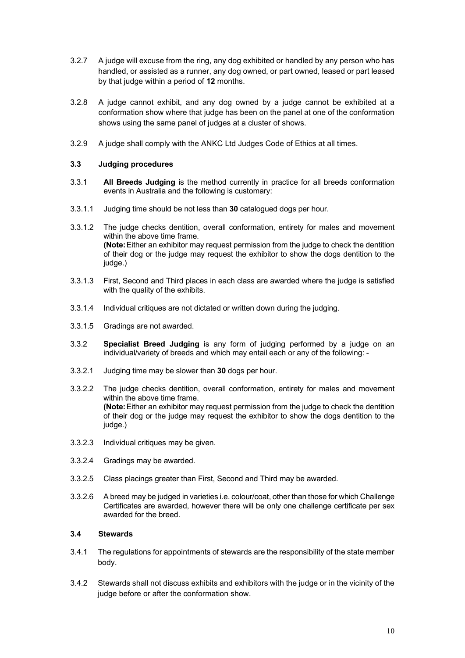- 3.2.7 A judge will excuse from the ring, any dog exhibited or handled by any person who has handled, or assisted as a runner, any dog owned, or part owned, leased or part leased by that judge within a period of **12** months.
- 3.2.8 A judge cannot exhibit, and any dog owned by a judge cannot be exhibited at a conformation show where that judge has been on the panel at one of the conformation shows using the same panel of judges at a cluster of shows.
- 3.2.9 A judge shall comply with the ANKC Ltd Judges Code of Ethics at all times.

### <span id="page-9-0"></span>**3.3 Judging procedures**

- 3.3.1 **All Breeds Judging** is the method currently in practice for all breeds conformation events in Australia and the following is customary:
- 3.3.1.1 Judging time should be not less than **30** catalogued dogs per hour.
- 3.3.1.2 The judge checks dentition, overall conformation, entirety for males and movement within the above time frame. **(Note:**Either an exhibitor may request permission from the judge to check the dentition of their dog or the judge may request the exhibitor to show the dogs dentition to the judge.)
- 3.3.1.3 First, Second and Third places in each class are awarded where the judge is satisfied with the quality of the exhibits.
- 3.3.1.4 Individual critiques are not dictated or written down during the judging.
- 3.3.1.5 Gradings are not awarded.
- 3.3.2 **Specialist Breed Judging** is any form of judging performed by a judge on an individual/variety of breeds and which may entail each or any of the following: -
- 3.3.2.1 Judging time may be slower than **30** dogs per hour.
- 3.3.2.2 The judge checks dentition, overall conformation, entirety for males and movement within the above time frame. **(Note:**Either an exhibitor may request permission from the judge to check the dentition of their dog or the judge may request the exhibitor to show the dogs dentition to the judge.)
- 3.3.2.3 Individual critiques may be given.
- 3.3.2.4 Gradings may be awarded.
- 3.3.2.5 Class placings greater than First, Second and Third may be awarded.
- 3.3.2.6 A breed may be judged in varieties i.e. colour/coat, other than those for which Challenge Certificates are awarded, however there will be only one challenge certificate per sex awarded for the breed.

#### <span id="page-9-1"></span>**3.4 Stewards**

- 3.4.1 The regulations for appointments of stewards are the responsibility of the state member body.
- 3.4.2 Stewards shall not discuss exhibits and exhibitors with the judge or in the vicinity of the judge before or after the conformation show.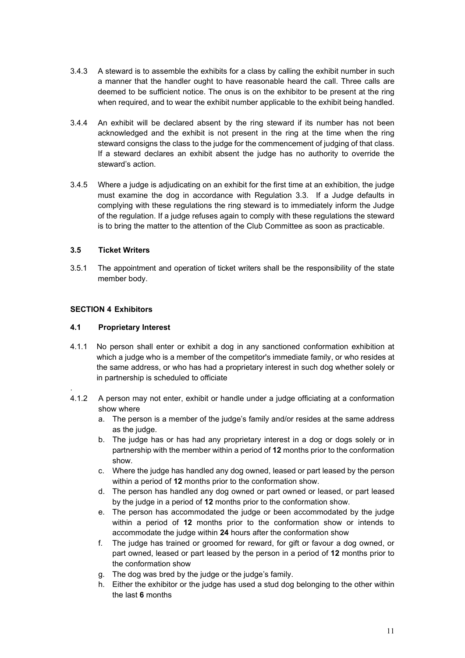- 3.4.3 A steward is to assemble the exhibits for a class by calling the exhibit number in such a manner that the handler ought to have reasonable heard the call. Three calls are deemed to be sufficient notice. The onus is on the exhibitor to be present at the ring when required, and to wear the exhibit number applicable to the exhibit being handled.
- 3.4.4 An exhibit will be declared absent by the ring steward if its number has not been acknowledged and the exhibit is not present in the ring at the time when the ring steward consigns the class to the judge for the commencement of judging of that class. If a steward declares an exhibit absent the judge has no authority to override the steward's action.
- 3.4.5 Where a judge is adjudicating on an exhibit for the first time at an exhibition, the judge must examine the dog in accordance with Regulation 3.3. If a Judge defaults in complying with these regulations the ring steward is to immediately inform the Judge of the regulation. If a judge refuses again to comply with these regulations the steward is to bring the matter to the attention of the Club Committee as soon as practicable.

## <span id="page-10-0"></span>**3.5 Ticket Writers**

3.5.1 The appointment and operation of ticket writers shall be the responsibility of the state member body.

## <span id="page-10-1"></span>**SECTION 4 Exhibitors**

.

## <span id="page-10-2"></span>**4.1 Proprietary Interest**

- 4.1.1 No person shall enter or exhibit a dog in any sanctioned conformation exhibition at which a judge who is a member of the competitor's immediate family, or who resides at the same address, or who has had a proprietary interest in such dog whether solely or in partnership is scheduled to officiate
- 4.1.2 A person may not enter, exhibit or handle under a judge officiating at a conformation show where
	- a. The person is a member of the judge's family and/or resides at the same address as the judge.
	- b. The judge has or has had any proprietary interest in a dog or dogs solely or in partnership with the member within a period of **12** months prior to the conformation show.
	- c. Where the judge has handled any dog owned, leased or part leased by the person within a period of **12** months prior to the conformation show.
	- d. The person has handled any dog owned or part owned or leased, or part leased by the judge in a period of **12** months prior to the conformation show.
	- e. The person has accommodated the judge or been accommodated by the judge within a period of **12** months prior to the conformation show or intends to accommodate the judge within **24** hours after the conformation show
	- f. The judge has trained or groomed for reward, for gift or favour a dog owned, or part owned, leased or part leased by the person in a period of **12** months prior to the conformation show
	- g. The dog was bred by the judge or the judge's family.
	- h. Either the exhibitor or the judge has used a stud dog belonging to the other within the last **6** months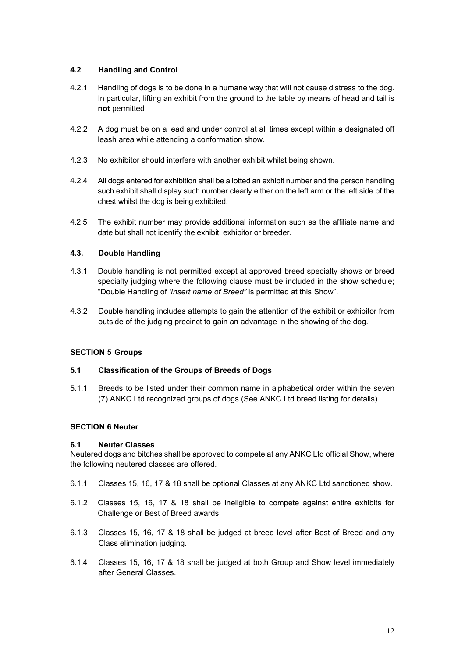## **4.2 Handling and Control**

- 4.2.1 Handling of dogs is to be done in a humane way that will not cause distress to the dog. In particular, lifting an exhibit from the ground to the table by means of head and tail is **not** permitted
- 4.2.2 A dog must be on a lead and under control at all times except within a designated off leash area while attending a conformation show.
- 4.2.3 No exhibitor should interfere with another exhibit whilst being shown.
- 4.2.4 All dogs entered for exhibition shall be allotted an exhibit number and the person handling such exhibit shall display such number clearly either on the left arm or the left side of the chest whilst the dog is being exhibited.
- 4.2.5 The exhibit number may provide additional information such as the affiliate name and date but shall not identify the exhibit, exhibitor or breeder.

## <span id="page-11-0"></span>**4.3. Double Handling**

- 4.3.1 Double handling is not permitted except at approved breed specialty shows or breed specialty judging where the following clause must be included in the show schedule; "Double Handling of *'Insert name of Breed"* is permitted at this Show".
- 4.3.2 Double handling includes attempts to gain the attention of the exhibit or exhibitor from outside of the judging precinct to gain an advantage in the showing of the dog.

## <span id="page-11-1"></span>**SECTION 5 Groups**

## <span id="page-11-2"></span>**5.1 Classification of the Groups of Breeds of Dogs**

5.1.1 Breeds to be listed under their common name in alphabetical order within the seven (7) ANKC Ltd recognized groups of dogs (See ANKC Ltd breed listing for details).

## <span id="page-11-3"></span>**SECTION 6 Neuter**

## <span id="page-11-4"></span>**6.1 Neuter Classes**

Neutered dogs and bitches shall be approved to compete at any ANKC Ltd official Show, where the following neutered classes are offered.

- 6.1.1 Classes 15, 16, 17 & 18 shall be optional Classes at any ANKC Ltd sanctioned show.
- 6.1.2 Classes 15, 16, 17 & 18 shall be ineligible to compete against entire exhibits for Challenge or Best of Breed awards.
- 6.1.3 Classes 15, 16, 17 & 18 shall be judged at breed level after Best of Breed and any Class elimination judging.
- 6.1.4 Classes 15, 16, 17 & 18 shall be judged at both Group and Show level immediately after General Classes.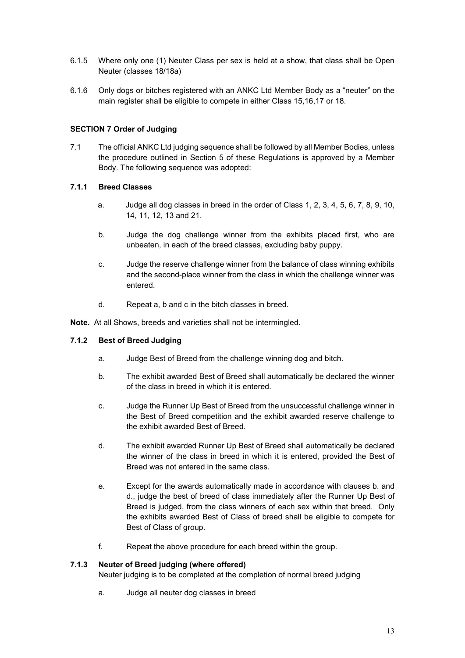- 6.1.5 Where only one (1) Neuter Class per sex is held at a show, that class shall be Open Neuter (classes 18/18a)
- 6.1.6 Only dogs or bitches registered with an ANKC Ltd Member Body as a "neuter" on the main register shall be eligible to compete in either Class 15,16,17 or 18.

## <span id="page-12-0"></span>**SECTION 7 Order of Judging**

7.1 The official ANKC Ltd judging sequence shall be followed by all Member Bodies, unless the procedure outlined in Section 5 of these Regulations is approved by a Member Body. The following sequence was adopted:

## <span id="page-12-1"></span>**7.1.1 Breed Classes**

- a. Judge all dog classes in breed in the order of Class 1, 2, 3, 4, 5, 6, 7, 8, 9, 10, 14, 11, 12, 13 and 21.
- b. Judge the dog challenge winner from the exhibits placed first, who are unbeaten, in each of the breed classes, excluding baby puppy.
- c. Judge the reserve challenge winner from the balance of class winning exhibits and the second-place winner from the class in which the challenge winner was entered.
- d. Repeat a, b and c in the bitch classes in breed.

**Note.** At all Shows, breeds and varieties shall not be intermingled.

## <span id="page-12-2"></span>**7.1.2 Best of Breed Judging**

- a. Judge Best of Breed from the challenge winning dog and bitch.
- b. The exhibit awarded Best of Breed shall automatically be declared the winner of the class in breed in which it is entered.
- c. Judge the Runner Up Best of Breed from the unsuccessful challenge winner in the Best of Breed competition and the exhibit awarded reserve challenge to the exhibit awarded Best of Breed.
- d. The exhibit awarded Runner Up Best of Breed shall automatically be declared the winner of the class in breed in which it is entered, provided the Best of Breed was not entered in the same class.
- e. Except for the awards automatically made in accordance with clauses b. and d., judge the best of breed of class immediately after the Runner Up Best of Breed is judged, from the class winners of each sex within that breed. Only the exhibits awarded Best of Class of breed shall be eligible to compete for Best of Class of group.
- f. Repeat the above procedure for each breed within the group.

## <span id="page-12-3"></span>**7.1.3 Neuter of Breed judging (where offered)**

Neuter judging is to be completed at the completion of normal breed judging

a. Judge all neuter dog classes in breed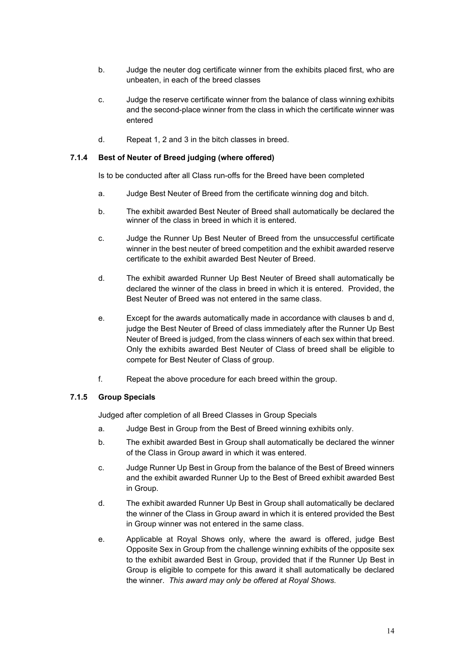- b. Judge the neuter dog certificate winner from the exhibits placed first, who are unbeaten, in each of the breed classes
- c. Judge the reserve certificate winner from the balance of class winning exhibits and the second-place winner from the class in which the certificate winner was entered
- d. Repeat 1, 2 and 3 in the bitch classes in breed.

#### <span id="page-13-0"></span>**7.1.4 Best of Neuter of Breed judging (where offered)**

Is to be conducted after all Class run-offs for the Breed have been completed

- a. Judge Best Neuter of Breed from the certificate winning dog and bitch.
- b. The exhibit awarded Best Neuter of Breed shall automatically be declared the winner of the class in breed in which it is entered.
- c. Judge the Runner Up Best Neuter of Breed from the unsuccessful certificate winner in the best neuter of breed competition and the exhibit awarded reserve certificate to the exhibit awarded Best Neuter of Breed.
- d. The exhibit awarded Runner Up Best Neuter of Breed shall automatically be declared the winner of the class in breed in which it is entered. Provided, the Best Neuter of Breed was not entered in the same class.
- e. Except for the awards automatically made in accordance with clauses b and d, judge the Best Neuter of Breed of class immediately after the Runner Up Best Neuter of Breed is judged, from the class winners of each sex within that breed. Only the exhibits awarded Best Neuter of Class of breed shall be eligible to compete for Best Neuter of Class of group.
- f. Repeat the above procedure for each breed within the group.

## <span id="page-13-1"></span>**7.1.5 Group Specials**

Judged after completion of all Breed Classes in Group Specials

- a. Judge Best in Group from the Best of Breed winning exhibits only.
- b. The exhibit awarded Best in Group shall automatically be declared the winner of the Class in Group award in which it was entered.
- c. Judge Runner Up Best in Group from the balance of the Best of Breed winners and the exhibit awarded Runner Up to the Best of Breed exhibit awarded Best in Group.
- d. The exhibit awarded Runner Up Best in Group shall automatically be declared the winner of the Class in Group award in which it is entered provided the Best in Group winner was not entered in the same class.
- e. Applicable at Royal Shows only, where the award is offered, judge Best Opposite Sex in Group from the challenge winning exhibits of the opposite sex to the exhibit awarded Best in Group, provided that if the Runner Up Best in Group is eligible to compete for this award it shall automatically be declared the winner. *This award may only be offered at Royal Shows.*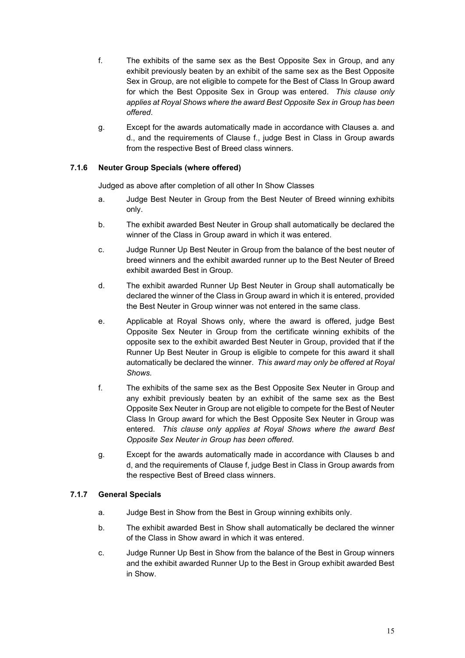- f. The exhibits of the same sex as the Best Opposite Sex in Group, and any exhibit previously beaten by an exhibit of the same sex as the Best Opposite Sex in Group, are not eligible to compete for the Best of Class In Group award for which the Best Opposite Sex in Group was entered. *This clause only applies at Royal Shows where the award Best Opposite Sex in Group has been offered*.
- g. Except for the awards automatically made in accordance with Clauses a. and d., and the requirements of Clause f., judge Best in Class in Group awards from the respective Best of Breed class winners.

## <span id="page-14-0"></span>**7.1.6 Neuter Group Specials (where offered)**

Judged as above after completion of all other In Show Classes

- a. Judge Best Neuter in Group from the Best Neuter of Breed winning exhibits only.
- b. The exhibit awarded Best Neuter in Group shall automatically be declared the winner of the Class in Group award in which it was entered.
- c. Judge Runner Up Best Neuter in Group from the balance of the best neuter of breed winners and the exhibit awarded runner up to the Best Neuter of Breed exhibit awarded Best in Group.
- d. The exhibit awarded Runner Up Best Neuter in Group shall automatically be declared the winner of the Class in Group award in which it is entered, provided the Best Neuter in Group winner was not entered in the same class.
- e. Applicable at Royal Shows only, where the award is offered, judge Best Opposite Sex Neuter in Group from the certificate winning exhibits of the opposite sex to the exhibit awarded Best Neuter in Group, provided that if the Runner Up Best Neuter in Group is eligible to compete for this award it shall automatically be declared the winner. *This award may only be offered at Royal Shows.*
- f. The exhibits of the same sex as the Best Opposite Sex Neuter in Group and any exhibit previously beaten by an exhibit of the same sex as the Best Opposite Sex Neuter in Group are not eligible to compete for the Best of Neuter Class In Group award for which the Best Opposite Sex Neuter in Group was entered. *This clause only applies at Royal Shows where the award Best Opposite Sex Neuter in Group has been offered*.
- g. Except for the awards automatically made in accordance with Clauses b and d, and the requirements of Clause f, judge Best in Class in Group awards from the respective Best of Breed class winners.

## <span id="page-14-1"></span>**7.1.7 General Specials**

- a. Judge Best in Show from the Best in Group winning exhibits only.
- b. The exhibit awarded Best in Show shall automatically be declared the winner of the Class in Show award in which it was entered.
- c. Judge Runner Up Best in Show from the balance of the Best in Group winners and the exhibit awarded Runner Up to the Best in Group exhibit awarded Best in Show.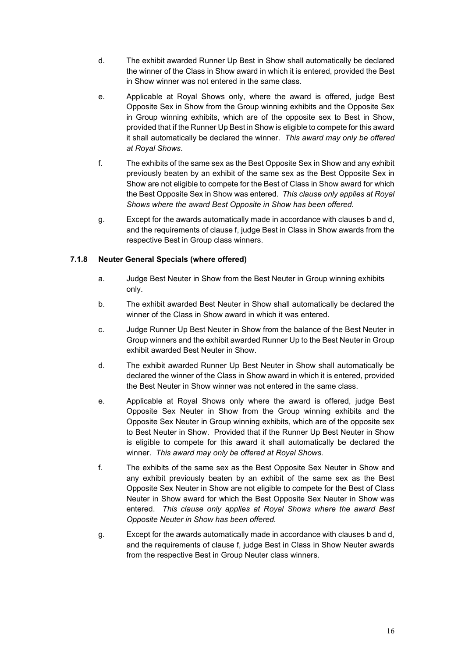- d. The exhibit awarded Runner Up Best in Show shall automatically be declared the winner of the Class in Show award in which it is entered, provided the Best in Show winner was not entered in the same class.
- e. Applicable at Royal Shows only, where the award is offered, judge Best Opposite Sex in Show from the Group winning exhibits and the Opposite Sex in Group winning exhibits, which are of the opposite sex to Best in Show, provided that if the Runner Up Best in Show is eligible to compete for this award it shall automatically be declared the winner. *This award may only be offered at Royal Shows*.
- f. The exhibits of the same sex as the Best Opposite Sex in Show and any exhibit previously beaten by an exhibit of the same sex as the Best Opposite Sex in Show are not eligible to compete for the Best of Class in Show award for which the Best Opposite Sex in Show was entered. *This clause only applies at Royal Shows where the award Best Opposite in Show has been offered.*
- g. Except for the awards automatically made in accordance with clauses b and d, and the requirements of clause f, judge Best in Class in Show awards from the respective Best in Group class winners.

## <span id="page-15-0"></span>**7.1.8 Neuter General Specials (where offered)**

- a. Judge Best Neuter in Show from the Best Neuter in Group winning exhibits only.
- b. The exhibit awarded Best Neuter in Show shall automatically be declared the winner of the Class in Show award in which it was entered.
- c. Judge Runner Up Best Neuter in Show from the balance of the Best Neuter in Group winners and the exhibit awarded Runner Up to the Best Neuter in Group exhibit awarded Best Neuter in Show.
- d. The exhibit awarded Runner Up Best Neuter in Show shall automatically be declared the winner of the Class in Show award in which it is entered, provided the Best Neuter in Show winner was not entered in the same class.
- e. Applicable at Royal Shows only where the award is offered, judge Best Opposite Sex Neuter in Show from the Group winning exhibits and the Opposite Sex Neuter in Group winning exhibits, which are of the opposite sex to Best Neuter in Show. Provided that if the Runner Up Best Neuter in Show is eligible to compete for this award it shall automatically be declared the winner. *This award may only be offered at Royal Shows.*
- f. The exhibits of the same sex as the Best Opposite Sex Neuter in Show and any exhibit previously beaten by an exhibit of the same sex as the Best Opposite Sex Neuter in Show are not eligible to compete for the Best of Class Neuter in Show award for which the Best Opposite Sex Neuter in Show was entered. *This clause only applies at Royal Shows where the award Best Opposite Neuter in Show has been offered.*
- g. Except for the awards automatically made in accordance with clauses b and d, and the requirements of clause f, judge Best in Class in Show Neuter awards from the respective Best in Group Neuter class winners.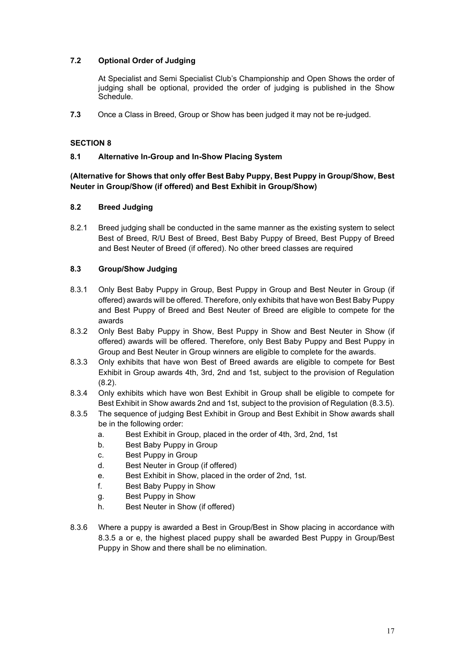## <span id="page-16-0"></span>**7.2 Optional Order of Judging**

At Specialist and Semi Specialist Club's Championship and Open Shows the order of judging shall be optional, provided the order of judging is published in the Show Schedule.

**7.3** Once a Class in Breed, Group or Show has been judged it may not be re-judged.

## <span id="page-16-1"></span>**SECTION 8**

## <span id="page-16-2"></span>**8.1 Alternative In-Group and In-Show Placing System**

## **(Alternative for Shows that only offer Best Baby Puppy, Best Puppy in Group/Show, Best Neuter in Group/Show (if offered) and Best Exhibit in Group/Show)**

## <span id="page-16-3"></span>**8.2 Breed Judging**

8.2.1 Breed judging shall be conducted in the same manner as the existing system to select Best of Breed, R/U Best of Breed, Best Baby Puppy of Breed, Best Puppy of Breed and Best Neuter of Breed (if offered). No other breed classes are required

## <span id="page-16-4"></span>**8.3 Group/Show Judging**

- 8.3.1 Only Best Baby Puppy in Group, Best Puppy in Group and Best Neuter in Group (if offered) awards will be offered. Therefore, only exhibits that have won Best Baby Puppy and Best Puppy of Breed and Best Neuter of Breed are eligible to compete for the awards
- 8.3.2 Only Best Baby Puppy in Show, Best Puppy in Show and Best Neuter in Show (if offered) awards will be offered. Therefore, only Best Baby Puppy and Best Puppy in Group and Best Neuter in Group winners are eligible to complete for the awards.
- 8.3.3 Only exhibits that have won Best of Breed awards are eligible to compete for Best Exhibit in Group awards 4th, 3rd, 2nd and 1st, subject to the provision of Regulation (8.2).
- 8.3.4 Only exhibits which have won Best Exhibit in Group shall be eligible to compete for Best Exhibit in Show awards 2nd and 1st, subject to the provision of Regulation (8.3.5).
- 8.3.5 The sequence of judging Best Exhibit in Group and Best Exhibit in Show awards shall be in the following order:
	- a. Best Exhibit in Group, placed in the order of 4th, 3rd, 2nd, 1st
	- b. Best Baby Puppy in Group
	- c. Best Puppy in Group
	- d. Best Neuter in Group (if offered)
	- e. Best Exhibit in Show, placed in the order of 2nd, 1st.
	- f. Best Baby Puppy in Show
	- g. Best Puppy in Show
	- h. Best Neuter in Show (if offered)
- 8.3.6 Where a puppy is awarded a Best in Group/Best in Show placing in accordance with 8.3.5 a or e, the highest placed puppy shall be awarded Best Puppy in Group/Best Puppy in Show and there shall be no elimination.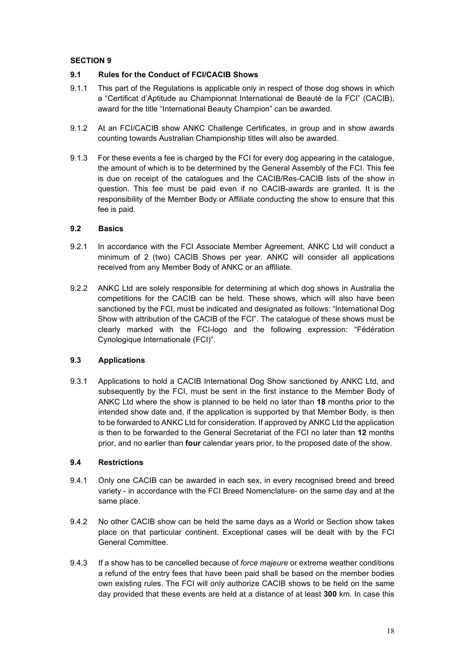## <span id="page-17-0"></span>**SECTION 9**

## <span id="page-17-1"></span>**9.1 Rules for the Conduct of FCI/CACIB Shows**

- 9.1.1 This part of the Regulations is applicable only in respect of those dog shows in which a "Certificat d'Aptitude au Championnat International de Beauté de la FCI" (CACIB), award for the title "International Beauty Champion" can be awarded.
- 9.1.2 At an FCI/CACIB show ANKC Challenge Certificates, in group and in show awards counting towards Australian Championship titles will also be awarded.
- 9.1.3 For these events a fee is charged by the FCI for every dog appearing in the catalogue, the amount of which is to be determined by the General Assembly of the FCI. This fee is due on receipt of the catalogues and the CACIB/Res-CACIB lists of the show in question. This fee must be paid even if no CACIB-awards are granted. It is the responsibility of the Member Body or Affiliate conducting the show to ensure that this fee is paid.

## <span id="page-17-2"></span>**9.2 Basics**

- 9.2.1 In accordance with the FCI Associate Member Agreement, ANKC Ltd will conduct a minimum of 2 (two) CACIB Shows per year. ANKC will consider all applications received from any Member Body of ANKC or an affiliate.
- 9.2.2 ANKC Ltd are solely responsible for determining at which dog shows in Australia the competitions for the CACIB can be held. These shows, which will also have been sanctioned by the FCI, must be indicated and designated as follows: "International Dog Show with attribution of the CACIB of the FCI". The catalogue of these shows must be clearly marked with the FCI-logo and the following expression: "Fédération Cynologique Internationale (FCI)".

## <span id="page-17-3"></span>**9.3 Applications**

9.3.1 Applications to hold a CACIB International Dog Show sanctioned by ANKC Ltd, and subsequently by the FCI, must be sent in the first instance to the Member Body of ANKC Ltd where the show is planned to be held no later than **18** months prior to the intended show date and, if the application is supported by that Member Body, is then to be forwarded to ANKC Ltd for consideration. If approved by ANKC Ltd the application is then to be forwarded to the General Secretariat of the FCI no later than **12** months prior, and no earlier than **four** calendar years prior, to the proposed date of the show.

## <span id="page-17-4"></span>**9.4 Restrictions**

- 9.4.1 Only one CACIB can be awarded in each sex, in every recognised breed and breed variety - in accordance with the FCI Breed Nomenclature- on the same day and at the same place.
- 9.4.2 No other CACIB show can be held the same days as a World or Section show takes place on that particular continent. Exceptional cases will be dealt with by the FCI General Committee.
- 9.4.3 If a show has to be cancelled because of *force majeure* or extreme weather conditions a refund of the entry fees that have been paid shall be based on the member bodies own existing rules. The FCI will only authorize CACIB shows to be held on the same day provided that these events are held at a distance of at least **300** km. In case this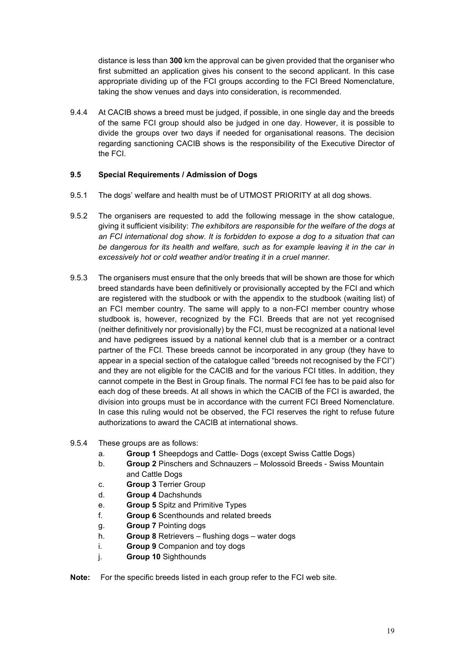distance is less than **300** km the approval can be given provided that the organiser who first submitted an application gives his consent to the second applicant. In this case appropriate dividing up of the FCI groups according to the FCI Breed Nomenclature, taking the show venues and days into consideration, is recommended.

9.4.4 At CACIB shows a breed must be judged, if possible, in one single day and the breeds of the same FCI group should also be judged in one day. However, it is possible to divide the groups over two days if needed for organisational reasons. The decision regarding sanctioning CACIB shows is the responsibility of the Executive Director of the FCI.

## <span id="page-18-0"></span>**9.5 Special Requirements / Admission of Dogs**

- 9.5.1 The dogs' welfare and health must be of UTMOST PRIORITY at all dog shows.
- 9.5.2 The organisers are requested to add the following message in the show catalogue, giving it sufficient visibility: *The exhibitors are responsible for the welfare of the dogs at an FCI international dog show. It is forbidden to expose a dog to a situation that can be dangerous for its health and welfare, such as for example leaving it in the car in excessively hot or cold weather and/or treating it in a cruel manner.*
- 9.5.3 The organisers must ensure that the only breeds that will be shown are those for which breed standards have been definitively or provisionally accepted by the FCI and which are registered with the studbook or with the appendix to the studbook (waiting list) of an FCI member country. The same will apply to a non-FCI member country whose studbook is, however, recognized by the FCI. Breeds that are not yet recognised (neither definitively nor provisionally) by the FCI, must be recognized at a national level and have pedigrees issued by a national kennel club that is a member or a contract partner of the FCI. These breeds cannot be incorporated in any group (they have to appear in a special section of the catalogue called "breeds not recognised by the FCI") and they are not eligible for the CACIB and for the various FCI titles. In addition, they cannot compete in the Best in Group finals. The normal FCI fee has to be paid also for each dog of these breeds. At all shows in which the CACIB of the FCI is awarded, the division into groups must be in accordance with the current FCI Breed Nomenclature. In case this ruling would not be observed, the FCI reserves the right to refuse future authorizations to award the CACIB at international shows.
- 9.5.4 These groups are as follows:
	- a. **Group 1** Sheepdogs and Cattle- Dogs (except Swiss Cattle Dogs)
	- b. **Group 2** Pinschers and Schnauzers Molossoid Breeds Swiss Mountain and Cattle Dogs
	- c. **Group 3** Terrier Group
	- d. **Group 4** Dachshunds
	- e. **Group 5** Spitz and Primitive Types
	- f. **Group 6** Scenthounds and related breeds
	- g. **Group 7** Pointing dogs
	- h. **Group 8** Retrievers flushing dogs water dogs
	- i. **Group 9** Companion and toy dogs
	- j. **Group 10** Sighthounds
- **Note:** For the specific breeds listed in each group refer to the FCI web site.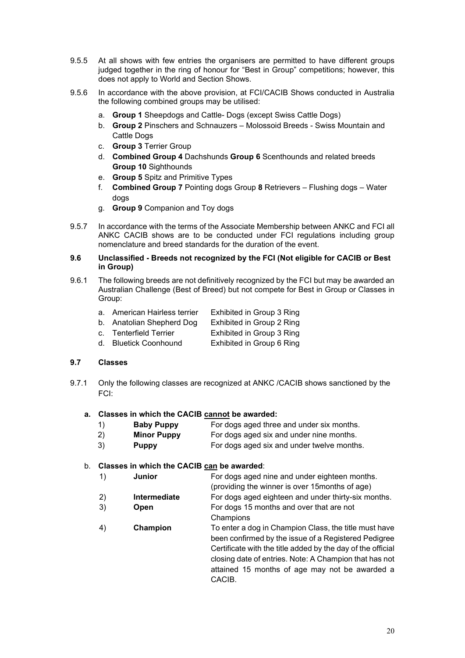- 9.5.5 At all shows with few entries the organisers are permitted to have different groups judged together in the ring of honour for "Best in Group" competitions; however, this does not apply to World and Section Shows.
- 9.5.6 In accordance with the above provision, at FCI/CACIB Shows conducted in Australia the following combined groups may be utilised:
	- a. **Group 1** Sheepdogs and Cattle- Dogs (except Swiss Cattle Dogs)
	- b. **Group 2** Pinschers and Schnauzers Molossoid Breeds Swiss Mountain and Cattle Dogs
	- c. **Group 3** Terrier Group
	- d. **Combined Group 4** Dachshunds **Group 6** Scenthounds and related breeds **Group 10** Sighthounds
	- e. **Group 5** Spitz and Primitive Types
	- f. **Combined Group 7** Pointing dogs Group **8** Retrievers Flushing dogs Water dogs
	- g. **Group 9** Companion and Toy dogs
- 9.5.7 In accordance with the terms of the Associate Membership between ANKC and FCI all ANKC CACIB shows are to be conducted under FCI regulations including group nomenclature and breed standards for the duration of the event.

#### <span id="page-19-0"></span>**9.6 Unclassified - Breeds not recognized by the FCI (Not eligible for CACIB or Best in Group)**

- 9.6.1 The following breeds are not definitively recognized by the FCI but may be awarded an Australian Challenge (Best of Breed) but not compete for Best in Group or Classes in Group:
	- a. American Hairless terrier Exhibited in Group 3 Ring
	- b. Anatolian Shepherd Dog Exhibited in Group 2 Ring
	- c. Tenterfield Terrier Exhibited in Group 3 Ring
	- d. Bluetick Coonhound Exhibited in Group 6 Ring

#### <span id="page-19-1"></span>**9.7 Classes**

9.7.1 Only the following classes are recognized at ANKC /CACIB shows sanctioned by the FCI:

#### **a. Classes in which the CACIB cannot be awarded:**

- 1) **Baby Puppy** For dogs aged three and under six months.
- 2) **Minor Puppy** For dogs aged six and under nine months.
- 3) **Puppy** For dogs aged six and under twelve months.

## b. **Classes in which the CACIB can be awarded**:

- 1) **Junior** For dogs aged nine and under eighteen months.
- (providing the winner is over 15months of age) 2) **Intermediate** For dogs aged eighteen and under thirty-six months.
- 3) **Open** For dogs 15 months and over that are not **Champions**
- 4) **Champion** To enter a dog in Champion Class, the title must have been confirmed by the issue of a Registered Pedigree Certificate with the title added by the day of the official closing date of entries. Note: A Champion that has not attained 15 months of age may not be awarded a **CACIB.**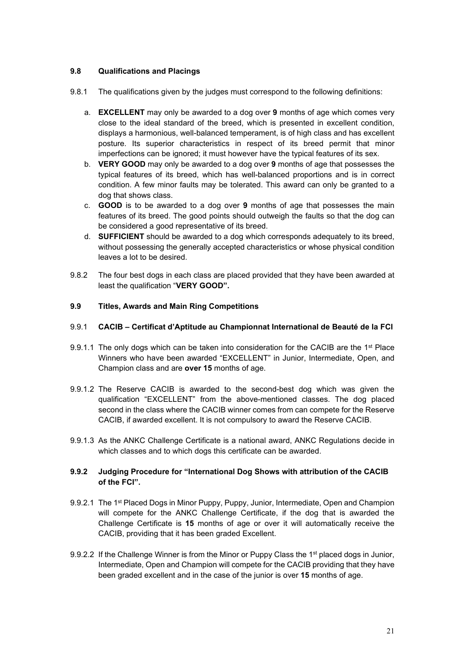## <span id="page-20-0"></span>**9.8 Qualifications and Placings**

- 9.8.1 The qualifications given by the judges must correspond to the following definitions:
	- a. **EXCELLENT** may only be awarded to a dog over **9** months of age which comes very close to the ideal standard of the breed, which is presented in excellent condition, displays a harmonious, well-balanced temperament, is of high class and has excellent posture. Its superior characteristics in respect of its breed permit that minor imperfections can be ignored; it must however have the typical features of its sex.
	- b. **VERY GOOD** may only be awarded to a dog over **9** months of age that possesses the typical features of its breed, which has well-balanced proportions and is in correct condition. A few minor faults may be tolerated. This award can only be granted to a dog that shows class.
	- c. **GOOD** is to be awarded to a dog over **9** months of age that possesses the main features of its breed. The good points should outweigh the faults so that the dog can be considered a good representative of its breed.
	- d. **SUFFICIENT** should be awarded to a dog which corresponds adequately to its breed, without possessing the generally accepted characteristics or whose physical condition leaves a lot to be desired.
- 9.8.2 The four best dogs in each class are placed provided that they have been awarded at least the qualification "**VERY GOOD".**

## <span id="page-20-1"></span>**9.9 Titles, Awards and Main Ring Competitions**

### 9.9.1 **CACIB – Certificat d'Aptitude au Championnat International de Beauté de la FCI**

- 9.9.1.1 The only dogs which can be taken into consideration for the CACIB are the  $1<sup>st</sup>$  Place Winners who have been awarded "EXCELLENT" in Junior, Intermediate, Open, and Champion class and are **over 15** months of age.
- 9.9.1.2 The Reserve CACIB is awarded to the second-best dog which was given the qualification "EXCELLENT" from the above-mentioned classes. The dog placed second in the class where the CACIB winner comes from can compete for the Reserve CACIB, if awarded excellent. It is not compulsory to award the Reserve CACIB.
- 9.9.1.3 As the ANKC Challenge Certificate is a national award, ANKC Regulations decide in which classes and to which dogs this certificate can be awarded.

## **9.9.2 Judging Procedure for "International Dog Shows with attribution of the CACIB of the FCI".**

- 9.9.2.1 The 1<sup>st</sup> Placed Dogs in Minor Puppy, Puppy, Junior, Intermediate, Open and Champion will compete for the ANKC Challenge Certificate, if the dog that is awarded the Challenge Certificate is **15** months of age or over it will automatically receive the CACIB, providing that it has been graded Excellent.
- 9.9.2.2 If the Challenge Winner is from the Minor or Puppy Class the 1<sup>st</sup> placed dogs in Junior, Intermediate, Open and Champion will compete for the CACIB providing that they have been graded excellent and in the case of the junior is over **15** months of age.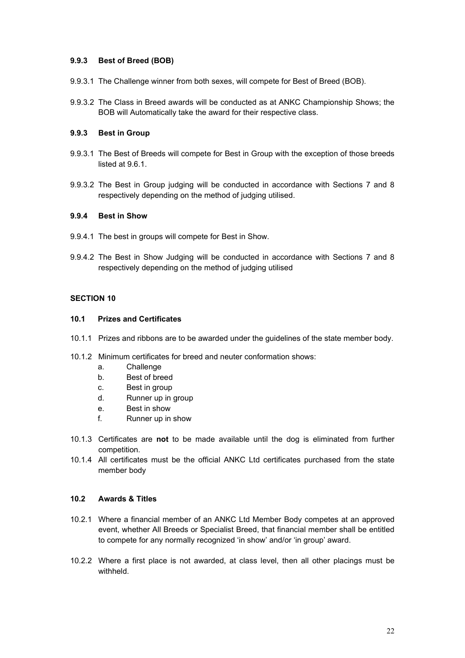## **9.9.3 Best of Breed (BOB)**

- 9.9.3.1 The Challenge winner from both sexes, will compete for Best of Breed (BOB).
- 9.9.3.2 The Class in Breed awards will be conducted as at ANKC Championship Shows; the BOB will Automatically take the award for their respective class.

## **9.9.3 Best in Group**

- 9.9.3.1 The Best of Breeds will compete for Best in Group with the exception of those breeds listed at 9.6.1.
- 9.9.3.2 The Best in Group judging will be conducted in accordance with Sections 7 and 8 respectively depending on the method of judging utilised.

### **9.9.4 Best in Show**

- 9.9.4.1 The best in groups will compete for Best in Show.
- 9.9.4.2 The Best in Show Judging will be conducted in accordance with Sections 7 and 8 respectively depending on the method of judging utilised

## <span id="page-21-0"></span>**SECTION 10**

#### <span id="page-21-1"></span>**10.1 Prizes and Certificates**

- 10.1.1 Prizes and ribbons are to be awarded under the guidelines of the state member body.
- 10.1.2 Minimum certificates for breed and neuter conformation shows:
	- a. Challenge
	- b. Best of breed
	- c. Best in group
	- d. Runner up in group
	- e. Best in show
	- f. Runner up in show
- 10.1.3 Certificates are **not** to be made available until the dog is eliminated from further competition.
- 10.1.4 All certificates must be the official ANKC Ltd certificates purchased from the state member body

## <span id="page-21-2"></span>**10.2 Awards & Titles**

- 10.2.1 Where a financial member of an ANKC Ltd Member Body competes at an approved event, whether All Breeds or Specialist Breed, that financial member shall be entitled to compete for any normally recognized 'in show' and/or 'in group' award.
- 10.2.2 Where a first place is not awarded, at class level, then all other placings must be withheld.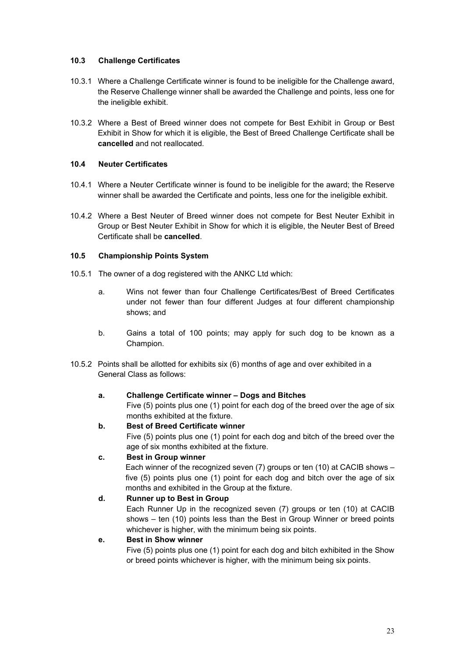## <span id="page-22-0"></span>**10.3 Challenge Certificates**

- 10.3.1 Where a Challenge Certificate winner is found to be ineligible for the Challenge award, the Reserve Challenge winner shall be awarded the Challenge and points, less one for the ineligible exhibit.
- 10.3.2 Where a Best of Breed winner does not compete for Best Exhibit in Group or Best Exhibit in Show for which it is eligible, the Best of Breed Challenge Certificate shall be **cancelled** and not reallocated.

#### <span id="page-22-1"></span>**10.4 Neuter Certificates**

- 10.4.1 Where a Neuter Certificate winner is found to be ineligible for the award; the Reserve winner shall be awarded the Certificate and points, less one for the ineligible exhibit.
- 10.4.2 Where a Best Neuter of Breed winner does not compete for Best Neuter Exhibit in Group or Best Neuter Exhibit in Show for which it is eligible, the Neuter Best of Breed Certificate shall be **cancelled**.

### <span id="page-22-2"></span>**10.5 Championship Points System**

- 10.5.1 The owner of a dog registered with the ANKC Ltd which:
	- a. Wins not fewer than four Challenge Certificates/Best of Breed Certificates under not fewer than four different Judges at four different championship shows; and
	- b. Gains a total of 100 points; may apply for such dog to be known as a Champion.
- 10.5.2 Points shall be allotted for exhibits six (6) months of age and over exhibited in a General Class as follows:

#### **a. Challenge Certificate winner – Dogs and Bitches**

Five (5) points plus one (1) point for each dog of the breed over the age of six months exhibited at the fixture.

## **b. Best of Breed Certificate winner**

Five (5) points plus one (1) point for each dog and bitch of the breed over the age of six months exhibited at the fixture.

## **c. Best in Group winner**

Each winner of the recognized seven (7) groups or ten (10) at CACIB shows – five (5) points plus one (1) point for each dog and bitch over the age of six months and exhibited in the Group at the fixture.

## **d. Runner up to Best in Group**

Each Runner Up in the recognized seven (7) groups or ten (10) at CACIB shows – ten (10) points less than the Best in Group Winner or breed points whichever is higher, with the minimum being six points.

## **e. Best in Show winner**

Five (5) points plus one (1) point for each dog and bitch exhibited in the Show or breed points whichever is higher, with the minimum being six points.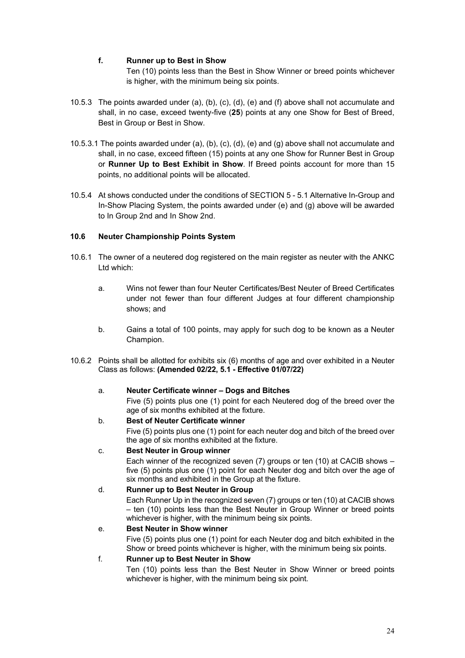## **f. Runner up to Best in Show**

Ten (10) points less than the Best in Show Winner or breed points whichever is higher, with the minimum being six points.

- 10.5.3 The points awarded under (a), (b), (c), (d), (e) and (f) above shall not accumulate and shall, in no case, exceed twenty-five (**25**) points at any one Show for Best of Breed, Best in Group or Best in Show.
- 10.5.3.1 The points awarded under (a), (b), (c), (d), (e) and (g) above shall not accumulate and shall, in no case, exceed fifteen (15) points at any one Show for Runner Best in Group or **Runner Up to Best Exhibit in Show**. If Breed points account for more than 15 points, no additional points will be allocated.
- 10.5.4 At shows conducted under the conditions of SECTION 5 5.1 Alternative In-Group and In-Show Placing System, the points awarded under (e) and (g) above will be awarded to In Group 2nd and In Show 2nd.

#### <span id="page-23-0"></span>**10.6 Neuter Championship Points System**

- 10.6.1 The owner of a neutered dog registered on the main register as neuter with the ANKC Ltd which:
	- a. Wins not fewer than four Neuter Certificates/Best Neuter of Breed Certificates under not fewer than four different Judges at four different championship shows; and
	- b. Gains a total of 100 points, may apply for such dog to be known as a Neuter Champion.
- 10.6.2 Points shall be allotted for exhibits six (6) months of age and over exhibited in a Neuter Class as follows: **(Amended 02/22, 5.1 - Effective 01/07/22)**

#### a. **Neuter Certificate winner – Dogs and Bitches**

Five (5) points plus one (1) point for each Neutered dog of the breed over the age of six months exhibited at the fixture.

## b. **Best of Neuter Certificate winner**

Five (5) points plus one (1) point for each neuter dog and bitch of the breed over the age of six months exhibited at the fixture.

## c. **Best Neuter in Group winner**

Each winner of the recognized seven (7) groups or ten (10) at CACIB shows – five (5) points plus one (1) point for each Neuter dog and bitch over the age of six months and exhibited in the Group at the fixture.

## d. **Runner up to Best Neuter in Group**

Each Runner Up in the recognized seven (7) groups or ten (10) at CACIB shows – ten (10) points less than the Best Neuter in Group Winner or breed points whichever is higher, with the minimum being six points.

## e. **Best Neuter in Show winner**

Five (5) points plus one (1) point for each Neuter dog and bitch exhibited in the Show or breed points whichever is higher, with the minimum being six points.

#### f. **Runner up to Best Neuter in Show**

Ten (10) points less than the Best Neuter in Show Winner or breed points whichever is higher, with the minimum being six point.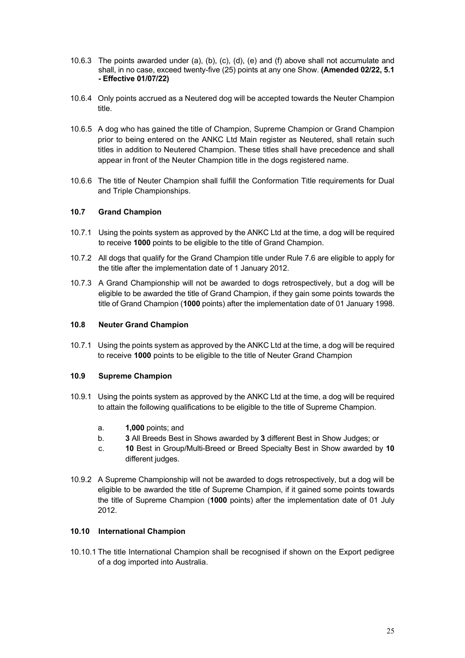- 10.6.3 The points awarded under (a), (b), (c), (d), (e) and (f) above shall not accumulate and shall, in no case, exceed twenty-five (25) points at any one Show. **(Amended 02/22, 5.1 - Effective 01/07/22)**
- 10.6.4 Only points accrued as a Neutered dog will be accepted towards the Neuter Champion title.
- 10.6.5 A dog who has gained the title of Champion, Supreme Champion or Grand Champion prior to being entered on the ANKC Ltd Main register as Neutered, shall retain such titles in addition to Neutered Champion. These titles shall have precedence and shall appear in front of the Neuter Champion title in the dogs registered name.
- 10.6.6 The title of Neuter Champion shall fulfill the Conformation Title requirements for Dual and Triple Championships.

## <span id="page-24-0"></span>**10.7 Grand Champion**

- 10.7.1 Using the points system as approved by the ANKC Ltd at the time, a dog will be required to receive **1000** points to be eligible to the title of Grand Champion.
- 10.7.2 All dogs that qualify for the Grand Champion title under Rule 7.6 are eligible to apply for the title after the implementation date of 1 January 2012.
- 10.7.3 A Grand Championship will not be awarded to dogs retrospectively, but a dog will be eligible to be awarded the title of Grand Champion, if they gain some points towards the title of Grand Champion (**1000** points) after the implementation date of 01 January 1998.

#### <span id="page-24-1"></span>**10.8 Neuter Grand Champion**

10.7.1 Using the points system as approved by the ANKC Ltd at the time, a dog will be required to receive **1000** points to be eligible to the title of Neuter Grand Champion

#### <span id="page-24-2"></span>**10.9 Supreme Champion**

- 10.9.1 Using the points system as approved by the ANKC Ltd at the time, a dog will be required to attain the following qualifications to be eligible to the title of Supreme Champion.
	- a. **1,000** points; and
	- b. **3** All Breeds Best in Shows awarded by **3** different Best in Show Judges; or
	- c. **10** Best in Group/Multi-Breed or Breed Specialty Best in Show awarded by **10** different judges.
- 10.9.2 A Supreme Championship will not be awarded to dogs retrospectively, but a dog will be eligible to be awarded the title of Supreme Champion, if it gained some points towards the title of Supreme Champion (**1000** points) after the implementation date of 01 July 2012.

## <span id="page-24-3"></span>**10.10 International Champion**

10.10.1 The title International Champion shall be recognised if shown on the Export pedigree of a dog imported into Australia.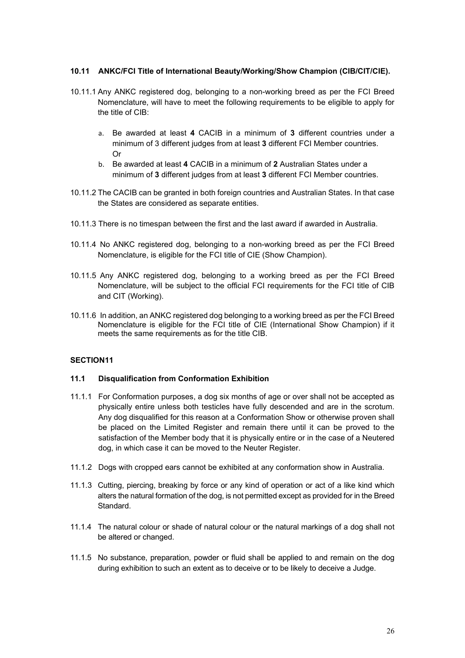## <span id="page-25-0"></span>**10.11 ANKC/FCI Title of International Beauty/Working/Show Champion (CIB/CIT/CIE).**

- 10.11.1 Any ANKC registered dog, belonging to a non-working breed as per the FCI Breed Nomenclature, will have to meet the following requirements to be eligible to apply for the title of CIB:
	- a. Be awarded at least **4** CACIB in a minimum of **3** different countries under a minimum of 3 different judges from at least **3** different FCI Member countries. Or
	- b. Be awarded at least **4** CACIB in a minimum of **2** Australian States under a minimum of **3** different judges from at least **3** different FCI Member countries.
- 10.11.2 The CACIB can be granted in both foreign countries and Australian States. In that case the States are considered as separate entities.
- 10.11.3 There is no timespan between the first and the last award if awarded in Australia.
- 10.11.4 No ANKC registered dog, belonging to a non-working breed as per the FCI Breed Nomenclature, is eligible for the FCI title of CIE (Show Champion).
- 10.11.5 Any ANKC registered dog, belonging to a working breed as per the FCI Breed Nomenclature, will be subject to the official FCI requirements for the FCI title of CIB and CIT (Working).
- 10.11.6 In addition, an ANKC registered dog belonging to a working breed as per the FCI Breed Nomenclature is eligible for the FCI title of CIE (International Show Champion) if it meets the same requirements as for the title CIB.

## <span id="page-25-1"></span>**SECTION11**

#### <span id="page-25-2"></span>**11.1 Disqualification from Conformation Exhibition**

- 11.1.1 For Conformation purposes, a dog six months of age or over shall not be accepted as physically entire unless both testicles have fully descended and are in the scrotum. Any dog disqualified for this reason at a Conformation Show or otherwise proven shall be placed on the Limited Register and remain there until it can be proved to the satisfaction of the Member body that it is physically entire or in the case of a Neutered dog, in which case it can be moved to the Neuter Register.
- 11.1.2 Dogs with cropped ears cannot be exhibited at any conformation show in Australia.
- 11.1.3 Cutting, piercing, breaking by force or any kind of operation or act of a like kind which alters the natural formation of the dog, is not permitted except as provided for in the Breed Standard.
- 11.1.4 The natural colour or shade of natural colour or the natural markings of a dog shall not be altered or changed.
- 11.1.5 No substance, preparation, powder or fluid shall be applied to and remain on the dog during exhibition to such an extent as to deceive or to be likely to deceive a Judge.